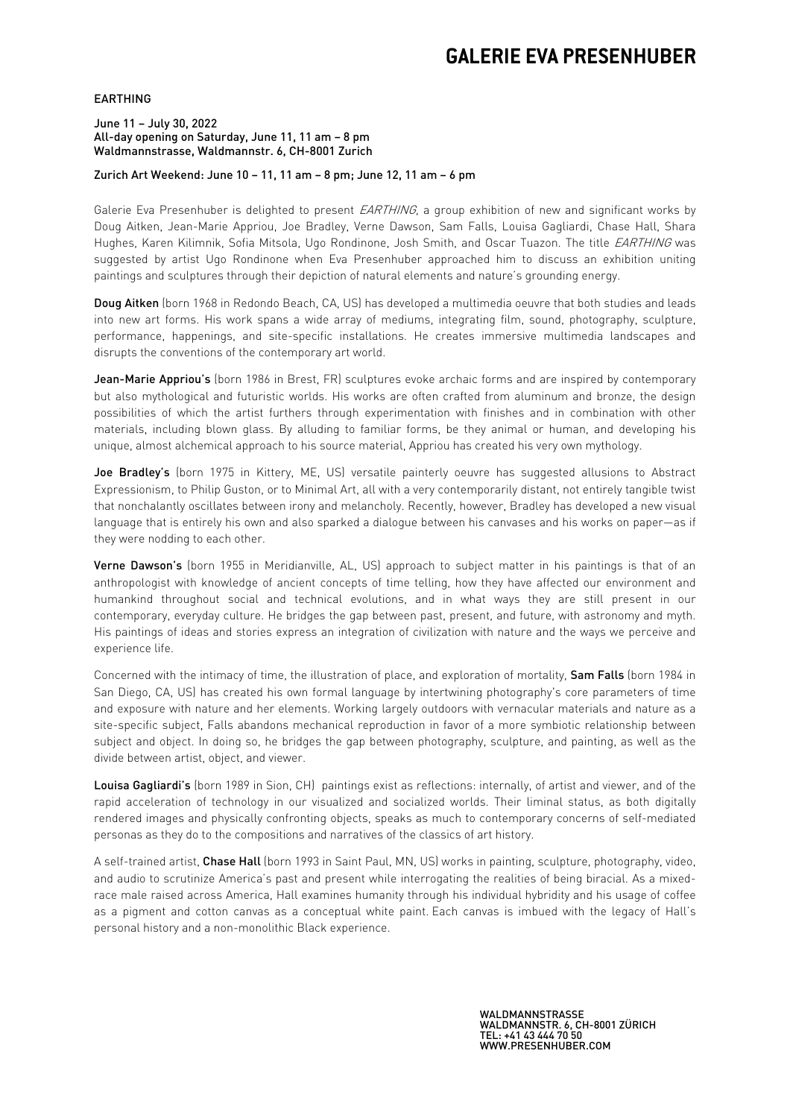# **GALERIE EVA PRESENHUBER**

### EARTHING

#### June 11 – July 30, 2022 All-day opening on Saturday, June 11, 11 am – 8 pm Waldmannstrasse, Waldmannstr. 6, CH-8001 Zurich

### Zurich Art Weekend: June 10 – 11, 11 am – 8 pm; June 12, 11 am – 6 pm

Galerie Eva Presenhuber is delighted to present EARTHING, a group exhibition of new and significant works by Doug Aitken, Jean-Marie Appriou, Joe Bradley, Verne Dawson, Sam Falls, Louisa Gagliardi, Chase Hall, Shara Hughes, Karen Kilimnik, Sofia Mitsola, Ugo Rondinone, Josh Smith, and Oscar Tuazon. The title EARTHING was suggested by artist Ugo Rondinone when Eva Presenhuber approached him to discuss an exhibition uniting paintings and sculptures through their depiction of natural elements and nature's grounding energy.

Doug Aitken (born 1968 in Redondo Beach, CA, US) has developed a multimedia oeuvre that both studies and leads into new art forms. His work spans a wide array of mediums, integrating film, sound, photography, sculpture, performance, happenings, and site-specific installations. He creates immersive multimedia landscapes and disrupts the conventions of the contemporary art world.

Jean-Marie Appriou's (born 1986 in Brest, FR) sculptures evoke archaic forms and are inspired by contemporary but also mythological and futuristic worlds. His works are often crafted from aluminum and bronze, the design possibilities of which the artist furthers through experimentation with finishes and in combination with other materials, including blown glass. By alluding to familiar forms, be they animal or human, and developing his unique, almost alchemical approach to his source material, Appriou has created his very own mythology.

Joe Bradley's (born 1975 in Kittery, ME, US) versatile painterly oeuvre has suggested allusions to Abstract Expressionism, to Philip Guston, or to Minimal Art, all with a very contemporarily distant, not entirely tangible twist that nonchalantly oscillates between irony and melancholy. Recently, however, Bradley has developed a new visual language that is entirely his own and also sparked a dialogue between his canvases and his works on paper—as if they were nodding to each other.

Verne Dawson's (born 1955 in Meridianville, AL, US) approach to subject matter in his paintings is that of an anthropologist with knowledge of ancient concepts of time telling, how they have affected our environment and humankind throughout social and technical evolutions, and in what ways they are still present in our contemporary, everyday culture. He bridges the gap between past, present, and future, with astronomy and myth. His paintings of ideas and stories express an integration of civilization with nature and the ways we perceive and experience life.

Concerned with the intimacy of time, the illustration of place, and exploration of mortality, Sam Falls (born 1984 in San Diego, CA, US) has created his own formal language by intertwining photography's core parameters of time and exposure with nature and her elements. Working largely outdoors with vernacular materials and nature as a site-specific subject, Falls abandons mechanical reproduction in favor of a more symbiotic relationship between subject and object. In doing so, he bridges the gap between photography, sculpture, and painting, as well as the divide between artist, object, and viewer.

Louisa Gagliardi's (born 1989 in Sion, CH) paintings exist as reflections: internally, of artist and viewer, and of the rapid acceleration of technology in our visualized and socialized worlds. Their liminal status, as both digitally rendered images and physically confronting objects, speaks as much to contemporary concerns of self-mediated personas as they do to the compositions and narratives of the classics of art history.

A self-trained artist, Chase Hall (born 1993 in Saint Paul, MN, US) works in painting, sculpture, photography, video, and audio to scrutinize America's past and present while interrogating the realities of being biracial. As a mixedrace male raised across America, Hall examines humanity through his individual hybridity and his usage of coffee as a pigment and cotton canvas as a conceptual white paint. Each canvas is imbued with the legacy of Hall's personal history and a non-monolithic Black experience.

> WALDMANNSTRASSE WALDMANNSTR. 6, CH-8001 ZÜRICH TEL: +41 43 444 70 50 WWW.PRESENHUBER.COM